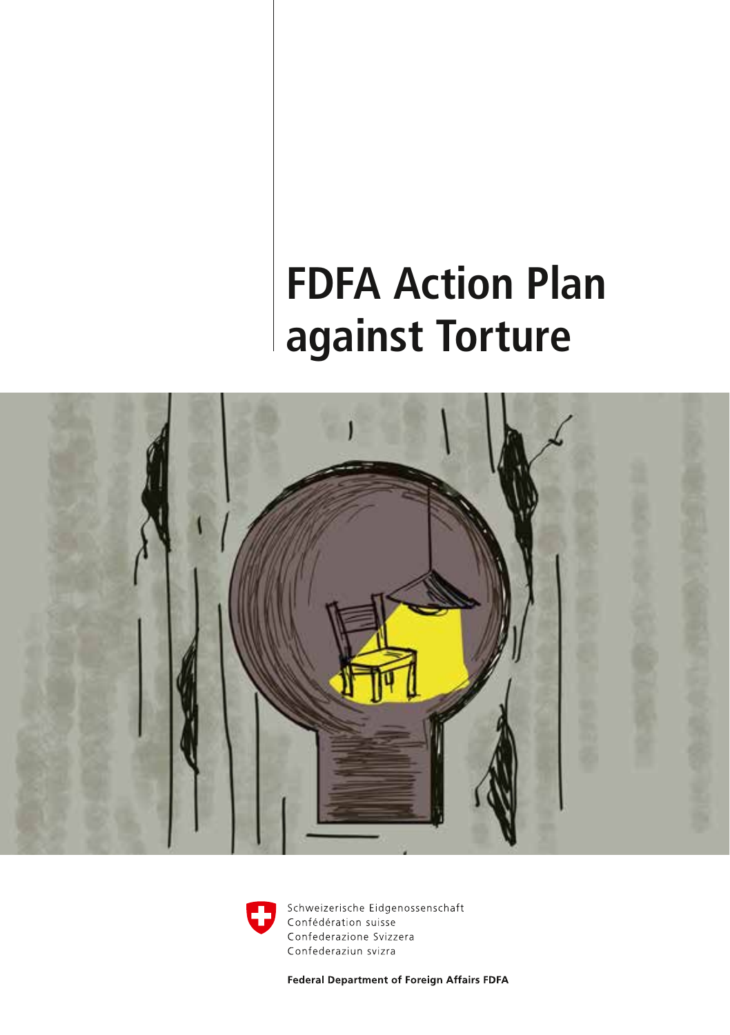# **FDFA Action Plan against Torture**





Schweizerische Eidgenossenschaft Confédération suisse Confederazione Svizzera Confederaziun svizra

Federal Department of Foreign Affairs FDFA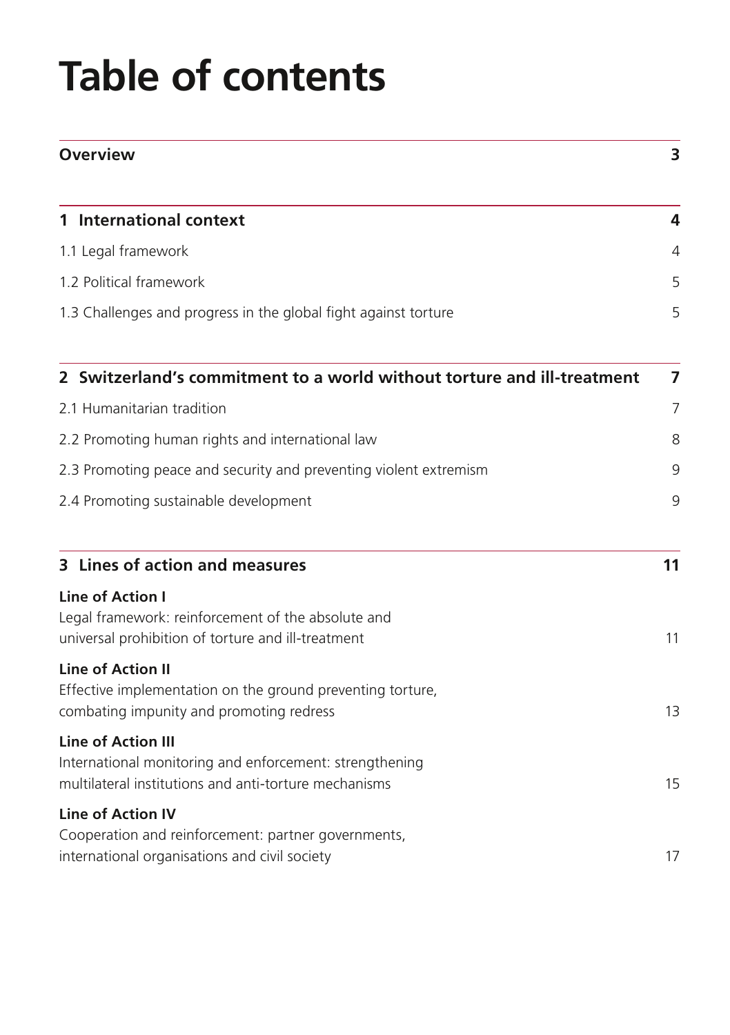# **Table of contents**

| <b>Overview</b>                                                                                                                               | 3              |
|-----------------------------------------------------------------------------------------------------------------------------------------------|----------------|
| 1 International context                                                                                                                       | 4              |
| 1.1 Legal framework                                                                                                                           | 4              |
| 1.2 Political framework                                                                                                                       | 5              |
| 1.3 Challenges and progress in the global fight against torture                                                                               | 5              |
| 2 Switzerland's commitment to a world without torture and ill-treatment                                                                       | $\overline{ }$ |
| 2.1 Humanitarian tradition                                                                                                                    | 7              |
| 2.2 Promoting human rights and international law                                                                                              | 8              |
| 2.3 Promoting peace and security and preventing violent extremism                                                                             | 9              |
| 2.4 Promoting sustainable development                                                                                                         | 9              |
| 3 Lines of action and measures                                                                                                                | 11             |
| <b>Line of Action I</b><br>Legal framework: reinforcement of the absolute and<br>universal prohibition of torture and ill-treatment           | 11             |
| <b>Line of Action II</b><br>Effective implementation on the ground preventing torture,<br>combating impunity and promoting redress            | 13             |
| <b>Line of Action III</b><br>International monitoring and enforcement: strengthening<br>multilateral institutions and anti-torture mechanisms | 15             |
| <b>Line of Action IV</b><br>Cooperation and reinforcement: partner governments,<br>international organisations and civil society              | 17             |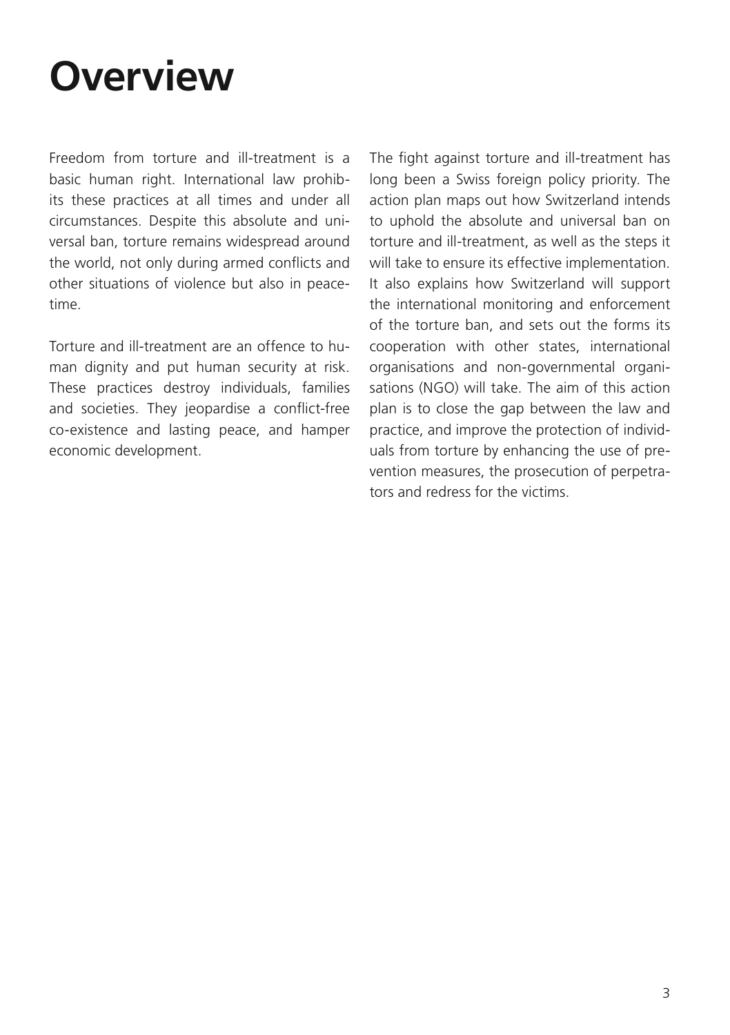## <span id="page-2-0"></span>**Overview**

Freedom from torture and ill-treatment is a basic human right. International law prohibits these practices at all times and under all circumstances. Despite this absolute and universal ban, torture remains widespread around the world, not only during armed conflicts and other situations of violence but also in peacetime.

Torture and ill-treatment are an offence to human dignity and put human security at risk. These practices destroy individuals, families and societies. They jeopardise a conflict-free co-existence and lasting peace, and hamper economic development.

The fight against torture and ill-treatment has long been a Swiss foreign policy priority. The action plan maps out how Switzerland intends to uphold the absolute and universal ban on torture and ill-treatment, as well as the steps it will take to ensure its effective implementation. It also explains how Switzerland will support the international monitoring and enforcement of the torture ban, and sets out the forms its cooperation with other states, international organisations and non-governmental organisations (NGO) will take. The aim of this action plan is to close the gap between the law and practice, and improve the protection of individuals from torture by enhancing the use of prevention measures, the prosecution of perpetrators and redress for the victims.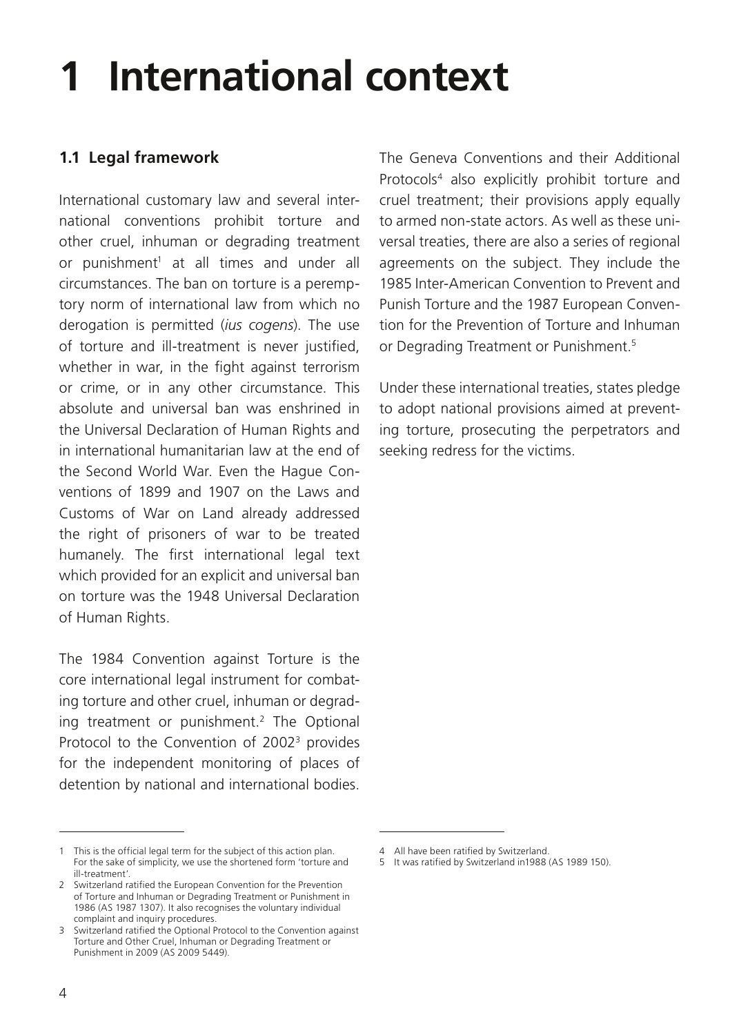## <span id="page-3-0"></span>**1 International context**

## **1.1 Legal framework**

International customary law and several international conventions prohibit torture and other cruel, inhuman or degrading treatment or punishment<sup>1</sup> at all times and under all circumstances. The ban on torture is a peremptory norm of international law from which no derogation is permitted (*ius cogens*). The use of torture and ill-treatment is never justified, whether in war, in the fight against terrorism or crime, or in any other circumstance. This absolute and universal ban was enshrined in the Universal Declaration of Human Rights and in international humanitarian law at the end of the Second World War. Even the Hague Conventions of 1899 and 1907 on the Laws and Customs of War on Land already addressed the right of prisoners of war to be treated humanely. The first international legal text which provided for an explicit and universal ban on torture was the 1948 Universal Declaration of Human Rights.

The 1984 Convention against Torture is the core international legal instrument for combating torture and other cruel, inhuman or degrading treatment or punishment.<sup>2</sup> The Optional Protocol to the Convention of 2002<sup>3</sup> provides for the independent monitoring of places of detention by national and international bodies.

The Geneva Conventions and their Additional Protocols4 also explicitly prohibit torture and cruel treatment; their provisions apply equally to armed non-state actors. As well as these universal treaties, there are also a series of regional agreements on the subject. They include the 1985 Inter-American Convention to Prevent and Punish Torture and the 1987 European Convention for the Prevention of Torture and Inhuman or Degrading Treatment or Punishment.<sup>5</sup>

Under these international treaties, states pledge to adopt national provisions aimed at preventing torture, prosecuting the perpetrators and seeking redress for the victims.

<sup>1</sup> This is the official legal term for the subject of this action plan. For the sake of simplicity, we use the shortened form 'torture and ill-treatment'.

<sup>2</sup> Switzerland ratified the European Convention for the Prevention of Torture and Inhuman or Degrading Treatment or Punishment in 1986 (AS 1987 1307). It also recognises the voluntary individual complaint and inquiry procedures.

<sup>3</sup> Switzerland ratified the Optional Protocol to the Convention against Torture and Other Cruel, Inhuman or Degrading Treatment or Punishment in 2009 (AS 2009 5449).

<sup>4</sup> All have been ratified by Switzerland.

<sup>5</sup> It was ratified by Switzerland in1988 (AS 1989 150).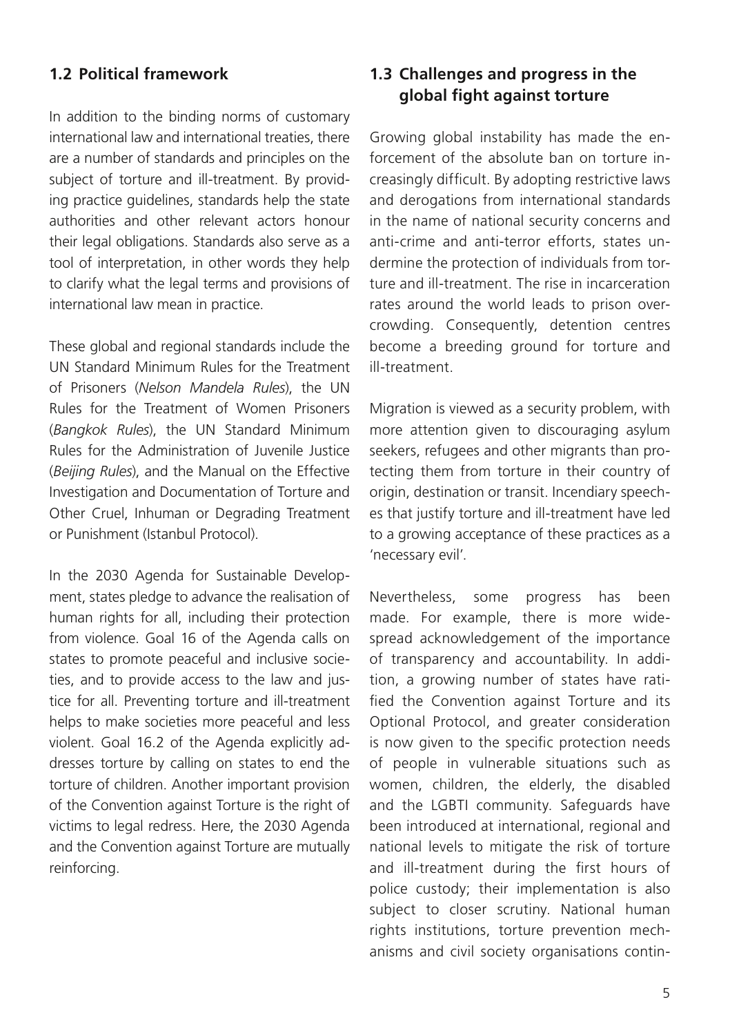## <span id="page-4-0"></span>**1.2 Political framework**

In addition to the binding norms of customary international law and international treaties, there are a number of standards and principles on the subject of torture and ill-treatment. By providing practice guidelines, standards help the state authorities and other relevant actors honour their legal obligations. Standards also serve as a tool of interpretation, in other words they help to clarify what the legal terms and provisions of international law mean in practice.

These global and regional standards include the UN Standard Minimum Rules for the Treatment of Prisoners (*Nelson Mandela Rules*), the UN Rules for the Treatment of Women Prisoners (*Bangkok Rules*), the UN Standard Minimum Rules for the Administration of Juvenile Justice (*Beijing Rules*), and the Manual on the Effective Investigation and Documentation of Torture and Other Cruel, Inhuman or Degrading Treatment or Punishment (Istanbul Protocol).

In the 2030 Agenda for Sustainable Development, states pledge to advance the realisation of human rights for all, including their protection from violence. Goal 16 of the Agenda calls on states to promote peaceful and inclusive societies, and to provide access to the law and justice for all. Preventing torture and ill-treatment helps to make societies more peaceful and less violent. Goal 16.2 of the Agenda explicitly addresses torture by calling on states to end the torture of children. Another important provision of the Convention against Torture is the right of victims to legal redress. Here, the 2030 Agenda and the Convention against Torture are mutually reinforcing.

## **1.3 Challenges and progress in the global fight against torture**

Growing global instability has made the enforcement of the absolute ban on torture increasingly difficult. By adopting restrictive laws and derogations from international standards in the name of national security concerns and anti-crime and anti-terror efforts, states undermine the protection of individuals from torture and ill-treatment. The rise in incarceration rates around the world leads to prison overcrowding. Consequently, detention centres become a breeding ground for torture and ill-treatment.

Migration is viewed as a security problem, with more attention given to discouraging asylum seekers, refugees and other migrants than protecting them from torture in their country of origin, destination or transit. Incendiary speeches that justify torture and ill-treatment have led to a growing acceptance of these practices as a 'necessary evil'.

Nevertheless, some progress has been made. For example, there is more widespread acknowledgement of the importance of transparency and accountability. In addition, a growing number of states have ratified the Convention against Torture and its Optional Protocol, and greater consideration is now given to the specific protection needs of people in vulnerable situations such as women, children, the elderly, the disabled and the LGBTI community. Safeguards have been introduced at international, regional and national levels to mitigate the risk of torture and ill-treatment during the first hours of police custody; their implementation is also subject to closer scrutiny. National human rights institutions, torture prevention mechanisms and civil society organisations contin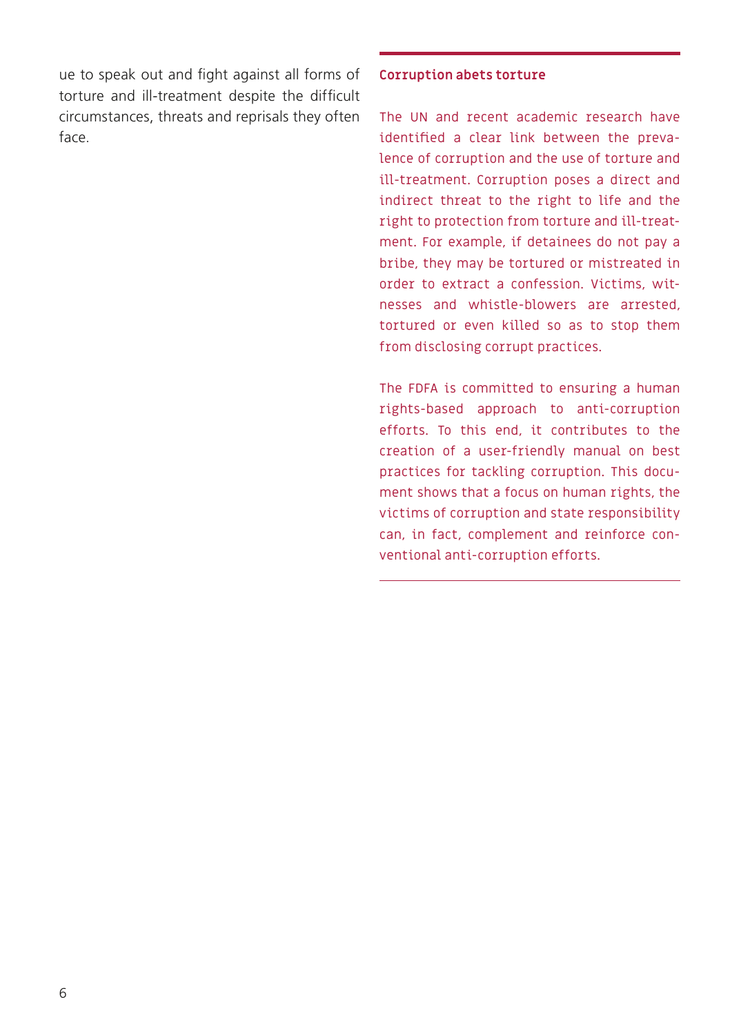ue to speak out and fight against all forms of torture and ill-treatment despite the difficult circumstances, threats and reprisals they often face.

#### **Corruption abets torture**

The UN and recent academic research have identified a clear link between the prevalence of corruption and the use of torture and ill-treatment. Corruption poses a direct and indirect threat to the right to life and the right to protection from torture and ill-treatment. For example, if detainees do not pay a bribe, they may be tortured or mistreated in order to extract a confession. Victims, witnesses and whistle-blowers are arrested, tortured or even killed so as to stop them from disclosing corrupt practices.

The FDFA is committed to ensuring a human rights-based approach to anti-corruption efforts. To this end, it contributes to the creation of a user-friendly manual on best practices for tackling corruption. This document shows that a focus on human rights, the victims of corruption and state responsibility can, in fact, complement and reinforce conventional anti-corruption efforts.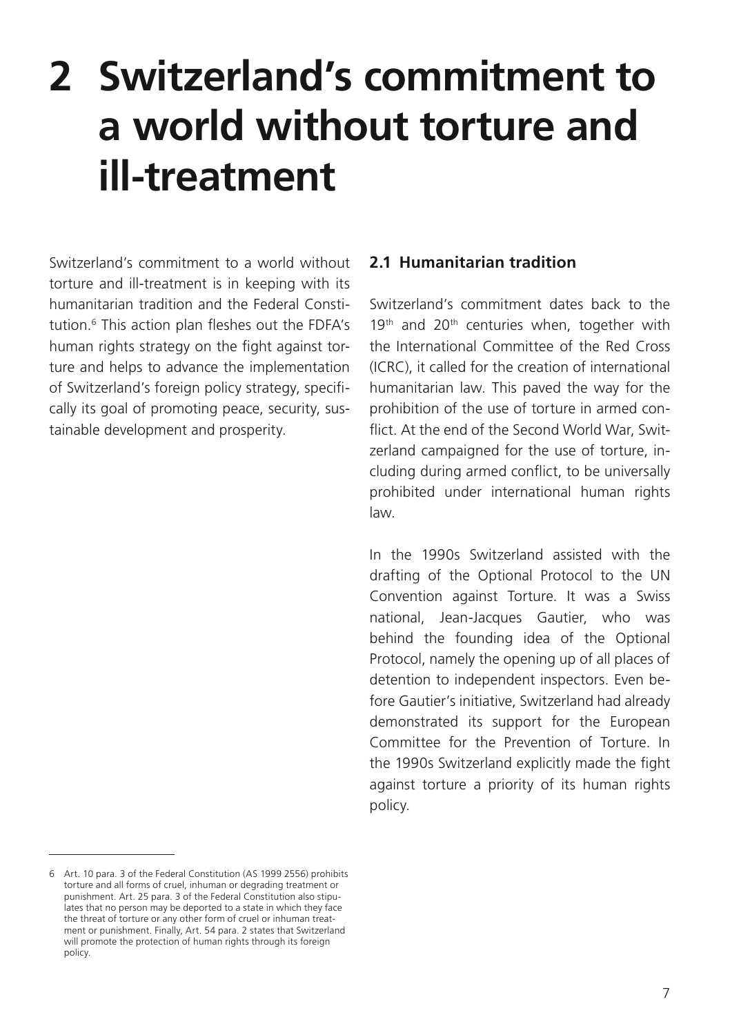## <span id="page-6-0"></span>**2 Switzerland's commitment to a world without torture and ill-treatment**

Switzerland's commitment to a world without torture and ill-treatment is in keeping with its humanitarian tradition and the Federal Constitution.6 This action plan fleshes out the FDFA's human rights strategy on the fight against torture and helps to advance the implementation of Switzerland's foreign policy strategy, specifically its goal of promoting peace, security, sustainable development and prosperity.

#### **2.1 Humanitarian tradition**

Switzerland's commitment dates back to the 19<sup>th</sup> and 20<sup>th</sup> centuries when, together with the International Committee of the Red Cross (ICRC), it called for the creation of international humanitarian law. This paved the way for the prohibition of the use of torture in armed conflict. At the end of the Second World War, Switzerland campaigned for the use of torture, including during armed conflict, to be universally prohibited under international human rights law.

In the 1990s Switzerland assisted with the drafting of the Optional Protocol to the UN Convention against Torture. It was a Swiss national, Jean-Jacques Gautier, who was behind the founding idea of the Optional Protocol, namely the opening up of all places of detention to independent inspectors. Even before Gautier's initiative, Switzerland had already demonstrated its support for the European Committee for the Prevention of Torture. In the 1990s Switzerland explicitly made the fight against torture a priority of its human rights policy.

<sup>6</sup> Art. 10 para. 3 of the Federal Constitution (AS 1999 2556) prohibits torture and all forms of cruel, inhuman or degrading treatment or punishment. Art. 25 para. 3 of the Federal Constitution also stipulates that no person may be deported to a state in which they face the threat of torture or any other form of cruel or inhuman treatment or punishment. Finally, Art. 54 para. 2 states that Switzerland will promote the protection of human rights through its foreign policy.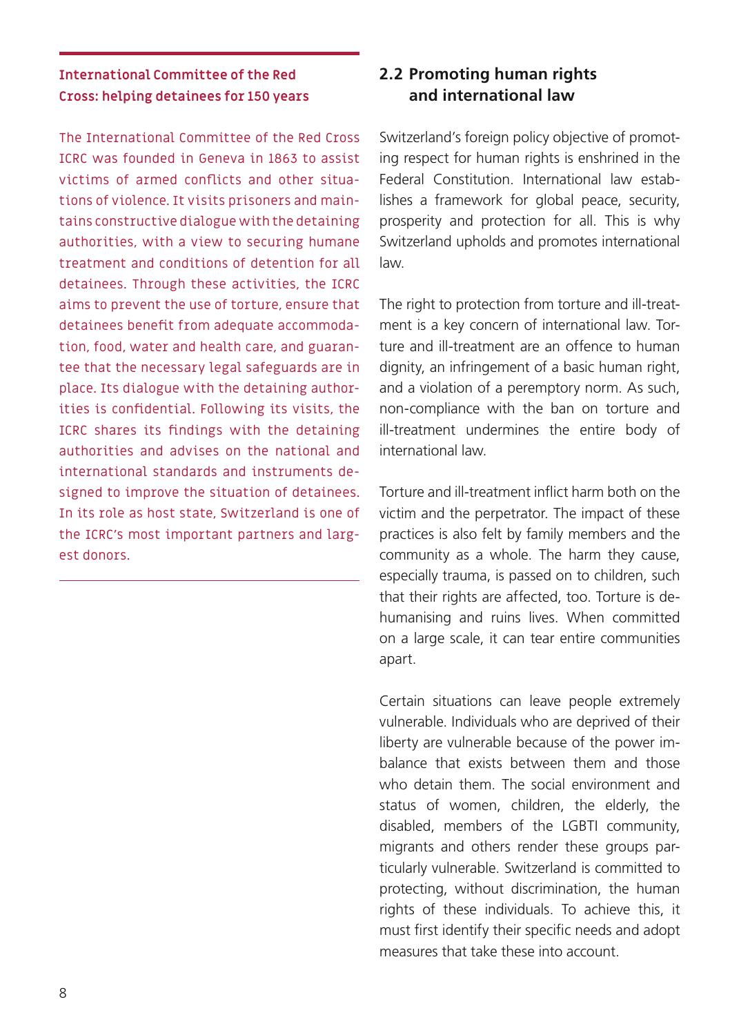## <span id="page-7-0"></span>**International Committee of the Red Cross: helping detainees for 150 years**

The International Committee of the Red Cross ICRC was founded in Geneva in 1863 to assist victims of armed conflicts and other situations of violence. It visits prisoners and maintains constructive dialogue with the detaining authorities, with a view to securing humane treatment and conditions of detention for all detainees. Through these activities, the ICRC aims to prevent the use of torture, ensure that detainees benefit from adequate accommodation, food, water and health care, and guarantee that the necessary legal safeguards are in place. Its dialogue with the detaining authorities is confidential. Following its visits, the ICRC shares its findings with the detaining authorities and advises on the national and international standards and instruments designed to improve the situation of detainees. In its role as host state, Switzerland is one of the ICRC's most important partners and largest donors.

## **2.2 Promoting human rights and international law**

Switzerland's foreign policy objective of promoting respect for human rights is enshrined in the Federal Constitution. International law establishes a framework for global peace, security, prosperity and protection for all. This is why Switzerland upholds and promotes international law.

The right to protection from torture and ill-treatment is a key concern of international law. Torture and ill-treatment are an offence to human dignity, an infringement of a basic human right, and a violation of a peremptory norm. As such, non-compliance with the ban on torture and ill-treatment undermines the entire body of international law.

Torture and ill-treatment inflict harm both on the victim and the perpetrator. The impact of these practices is also felt by family members and the community as a whole. The harm they cause, especially trauma, is passed on to children, such that their rights are affected, too. Torture is dehumanising and ruins lives. When committed on a large scale, it can tear entire communities apart.

Certain situations can leave people extremely vulnerable. Individuals who are deprived of their liberty are vulnerable because of the power imbalance that exists between them and those who detain them. The social environment and status of women, children, the elderly, the disabled, members of the LGBTI community, migrants and others render these groups particularly vulnerable. Switzerland is committed to protecting, without discrimination, the human rights of these individuals. To achieve this, it must first identify their specific needs and adopt measures that take these into account.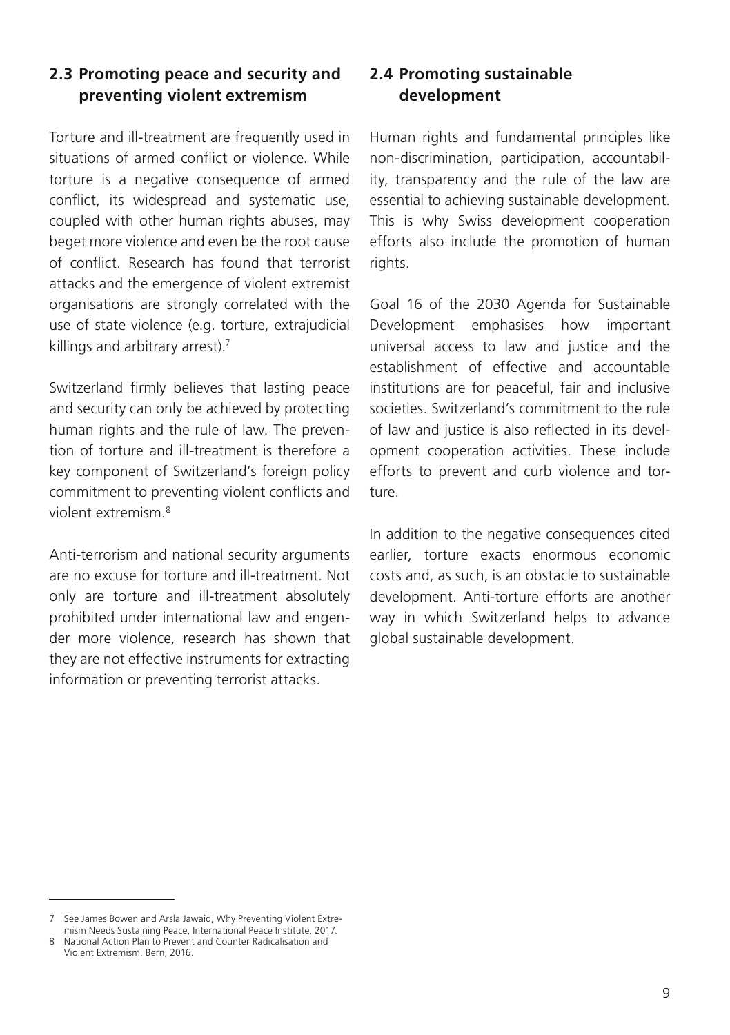## <span id="page-8-0"></span>**2.3 Promoting peace and security and preventing violent extremism**

Torture and ill-treatment are frequently used in situations of armed conflict or violence. While torture is a negative consequence of armed conflict, its widespread and systematic use, coupled with other human rights abuses, may beget more violence and even be the root cause of conflict. Research has found that terrorist attacks and the emergence of violent extremist organisations are strongly correlated with the use of state violence (e.g. torture, extrajudicial killings and arbitrary arrest).<sup>7</sup>

Switzerland firmly believes that lasting peace and security can only be achieved by protecting human rights and the rule of law. The prevention of torture and ill-treatment is therefore a key component of Switzerland's foreign policy commitment to preventing violent conflicts and violent extremism.8

Anti-terrorism and national security arguments are no excuse for torture and ill-treatment. Not only are torture and ill-treatment absolutely prohibited under international law and engender more violence, research has shown that they are not effective instruments for extracting information or preventing terrorist attacks.

## **2.4 Promoting sustainable development**

Human rights and fundamental principles like non-discrimination, participation, accountability, transparency and the rule of the law are essential to achieving sustainable development. This is why Swiss development cooperation efforts also include the promotion of human rights.

Goal 16 of the 2030 Agenda for Sustainable Development emphasises how important universal access to law and justice and the establishment of effective and accountable institutions are for peaceful, fair and inclusive societies. Switzerland's commitment to the rule of law and justice is also reflected in its development cooperation activities. These include efforts to prevent and curb violence and torture.

In addition to the negative consequences cited earlier, torture exacts enormous economic costs and, as such, is an obstacle to sustainable development. Anti-torture efforts are another way in which Switzerland helps to advance global sustainable development.

<sup>7</sup> See James Bowen and Arsla Jawaid, Why Preventing Violent Extremism Needs Sustaining Peace, International Peace Institute, 2017.

<sup>8</sup> National Action Plan to Prevent and Counter Radicalisation and Violent Extremism, Bern, 2016.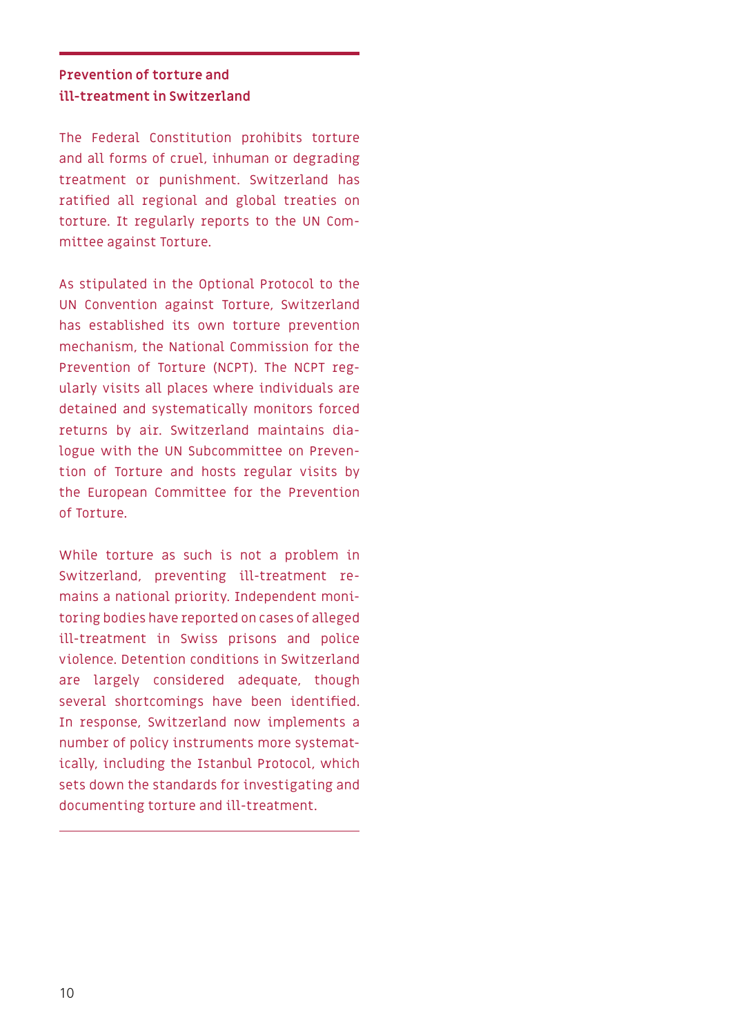## **Prevention of torture and ill-treatment in Switzerland**

The Federal Constitution prohibits torture and all forms of cruel, inhuman or degrading treatment or punishment. Switzerland has ratified all regional and global treaties on torture. It regularly reports to the UN Committee against Torture.

As stipulated in the Optional Protocol to the UN Convention against Torture, Switzerland has established its own torture prevention mechanism, the National Commission for the Prevention of Torture (NCPT). The NCPT regularly visits all places where individuals are detained and systematically monitors forced returns by air. Switzerland maintains dialogue with the UN Subcommittee on Prevention of Torture and hosts regular visits by the European Committee for the Prevention of Torture.

While torture as such is not a problem in Switzerland, preventing ill-treatment remains a national priority. Independent monitoring bodies have reported on cases of alleged ill-treatment in Swiss prisons and police violence. Detention conditions in Switzerland are largely considered adequate, though several shortcomings have been identified. In response, Switzerland now implements a number of policy instruments more systematically, including the Istanbul Protocol, which sets down the standards for investigating and documenting torture and ill-treatment.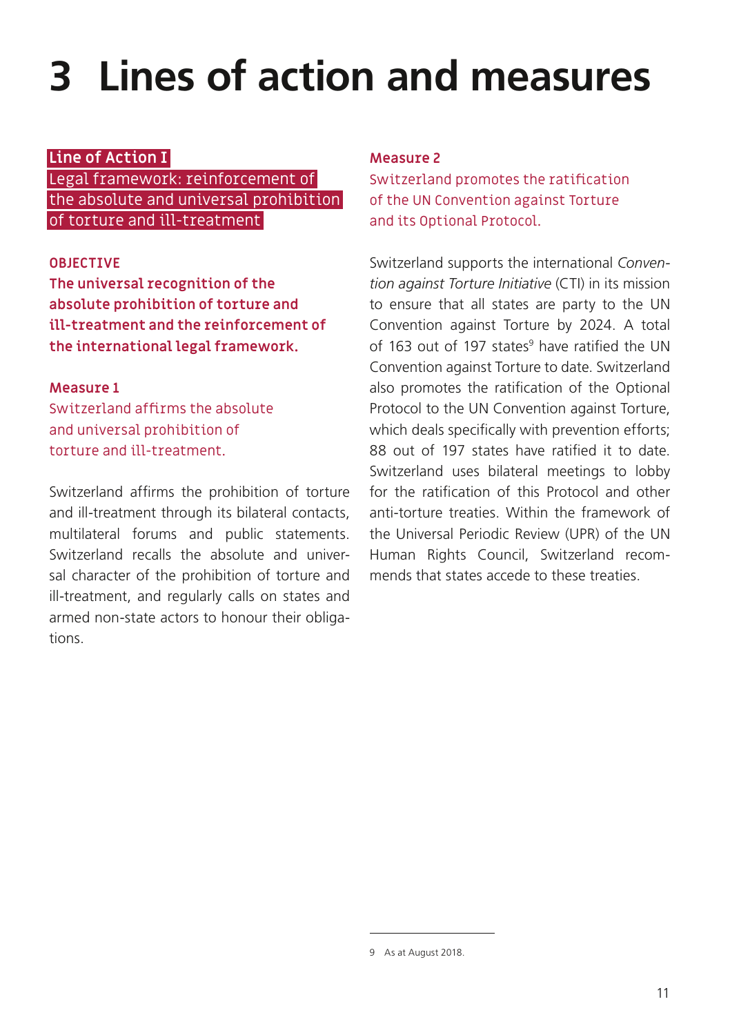## <span id="page-10-0"></span>**3 Lines of action and measures**

#### **Line of Action I**

Legal framework: reinforcement of the absolute and universal prohibition of torture and ill-treatment

### **OBJECTIVE**

**The universal recognition of the absolute prohibition of torture and ill-treatment and the reinforcement of the international legal framework.**

#### **Measure 1**

Switzerland affirms the absolute and universal prohibition of torture and ill-treatment.

Switzerland affirms the prohibition of torture and ill-treatment through its bilateral contacts, multilateral forums and public statements. Switzerland recalls the absolute and universal character of the prohibition of torture and ill-treatment, and regularly calls on states and armed non-state actors to honour their obligations.

#### **Measure 2**

Switzerland promotes the ratification of the UN Convention against Torture and its Optional Protocol.

Switzerland supports the international *Convention against Torture Initiative* (CTI) in its mission to ensure that all states are party to the UN Convention against Torture by 2024. A total of 163 out of 197 states<sup>9</sup> have ratified the UN Convention against Torture to date. Switzerland also promotes the ratification of the Optional Protocol to the UN Convention against Torture, which deals specifically with prevention efforts; 88 out of 197 states have ratified it to date. Switzerland uses bilateral meetings to lobby for the ratification of this Protocol and other anti-torture treaties. Within the framework of the Universal Periodic Review (UPR) of the UN Human Rights Council, Switzerland recommends that states accede to these treaties.

<sup>9</sup> As at August 2018.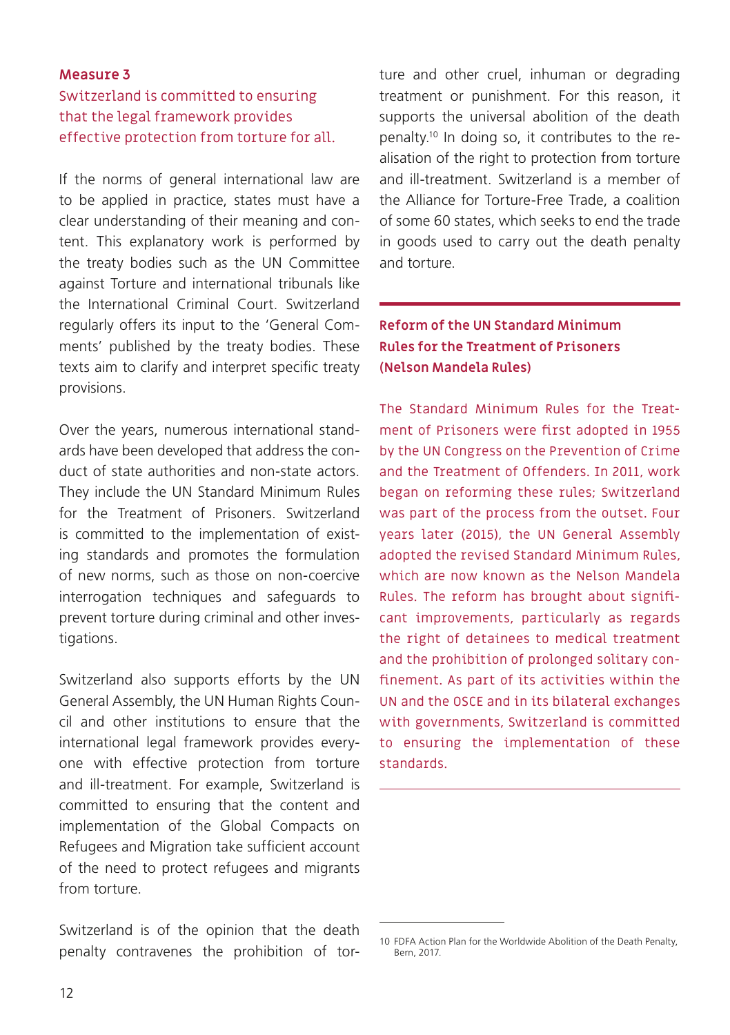## Switzerland is committed to ensuring that the legal framework provides effective protection from torture for all.

If the norms of general international law are to be applied in practice, states must have a clear understanding of their meaning and content. This explanatory work is performed by the treaty bodies such as the UN Committee against Torture and international tribunals like the International Criminal Court. Switzerland regularly offers its input to the 'General Comments' published by the treaty bodies. These texts aim to clarify and interpret specific treaty provisions.

Over the years, numerous international standards have been developed that address the conduct of state authorities and non-state actors. They include the UN Standard Minimum Rules for the Treatment of Prisoners. Switzerland is committed to the implementation of existing standards and promotes the formulation of new norms, such as those on non-coercive interrogation techniques and safeguards to prevent torture during criminal and other investigations.

Switzerland also supports efforts by the UN General Assembly, the UN Human Rights Council and other institutions to ensure that the international legal framework provides everyone with effective protection from torture and ill-treatment. For example, Switzerland is committed to ensuring that the content and implementation of the Global Compacts on Refugees and Migration take sufficient account of the need to protect refugees and migrants from torture.

Switzerland is of the opinion that the death penalty contravenes the prohibition of torture and other cruel, inhuman or degrading treatment or punishment. For this reason, it supports the universal abolition of the death penalty.10 In doing so, it contributes to the realisation of the right to protection from torture and ill-treatment. Switzerland is a member of the Alliance for Torture-Free Trade, a coalition of some 60 states, which seeks to end the trade in goods used to carry out the death penalty and torture.

## **Reform of the UN Standard Minimum Rules for the Treatment of Prisoners (Nelson Mandela Rules)**

The Standard Minimum Rules for the Treatment of Prisoners were first adopted in 1955 by the UN Congress on the Prevention of Crime and the Treatment of Offenders. In 2011, work began on reforming these rules; Switzerland was part of the process from the outset. Four years later (2015), the UN General Assembly adopted the revised Standard Minimum Rules, which are now known as the Nelson Mandela Rules. The reform has brought about significant improvements, particularly as regards the right of detainees to medical treatment and the prohibition of prolonged solitary confinement. As part of its activities within the UN and the OSCE and in its bilateral exchanges with governments, Switzerland is committed to ensuring the implementation of these standards.

<sup>10</sup> FDFA Action Plan for the Worldwide Abolition of the Death Penalty, Bern, 2017.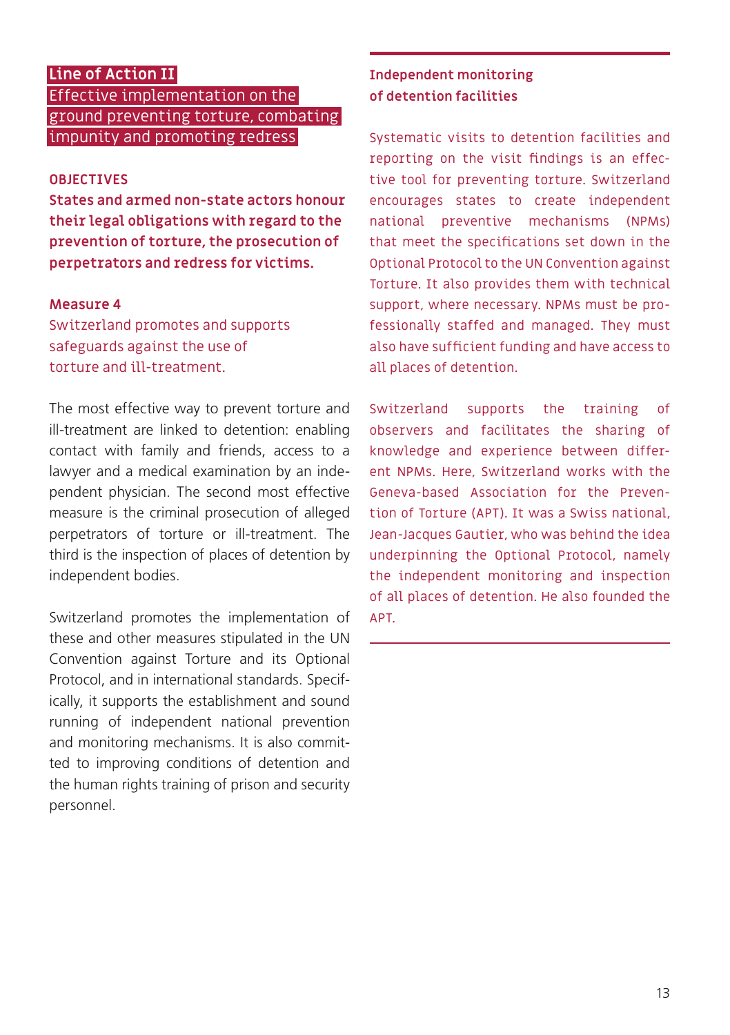## <span id="page-12-0"></span>**Line of Action II**

Effective implementation on the ground preventing torture, combating impunity and promoting redress

### **OBJECTIVES**

**States and armed non-state actors honour their legal obligations with regard to the prevention of torture, the prosecution of perpetrators and redress for victims.**

#### **Measure 4**

Switzerland promotes and supports safeguards against the use of torture and ill-treatment.

The most effective way to prevent torture and ill-treatment are linked to detention: enabling contact with family and friends, access to a lawyer and a medical examination by an independent physician. The second most effective measure is the criminal prosecution of alleged perpetrators of torture or ill-treatment. The third is the inspection of places of detention by independent bodies.

Switzerland promotes the implementation of these and other measures stipulated in the UN Convention against Torture and its Optional Protocol, and in international standards. Specifically, it supports the establishment and sound running of independent national prevention and monitoring mechanisms. It is also committed to improving conditions of detention and the human rights training of prison and security personnel.

#### **Independent monitoring of detention facilities**

Systematic visits to detention facilities and reporting on the visit findings is an effective tool for preventing torture. Switzerland encourages states to create independent national preventive mechanisms (NPMs) that meet the specifications set down in the Optional Protocol to the UN Convention against Torture. It also provides them with technical support, where necessary. NPMs must be professionally staffed and managed. They must also have sufficient funding and have access to all places of detention.

Switzerland supports the training of observers and facilitates the sharing of knowledge and experience between different NPMs. Here, Switzerland works with the Geneva-based Association for the Prevention of Torture (APT). It was a Swiss national, Jean-Jacques Gautier, who was behind the idea underpinning the Optional Protocol, namely the independent monitoring and inspection of all places of detention. He also founded the APT.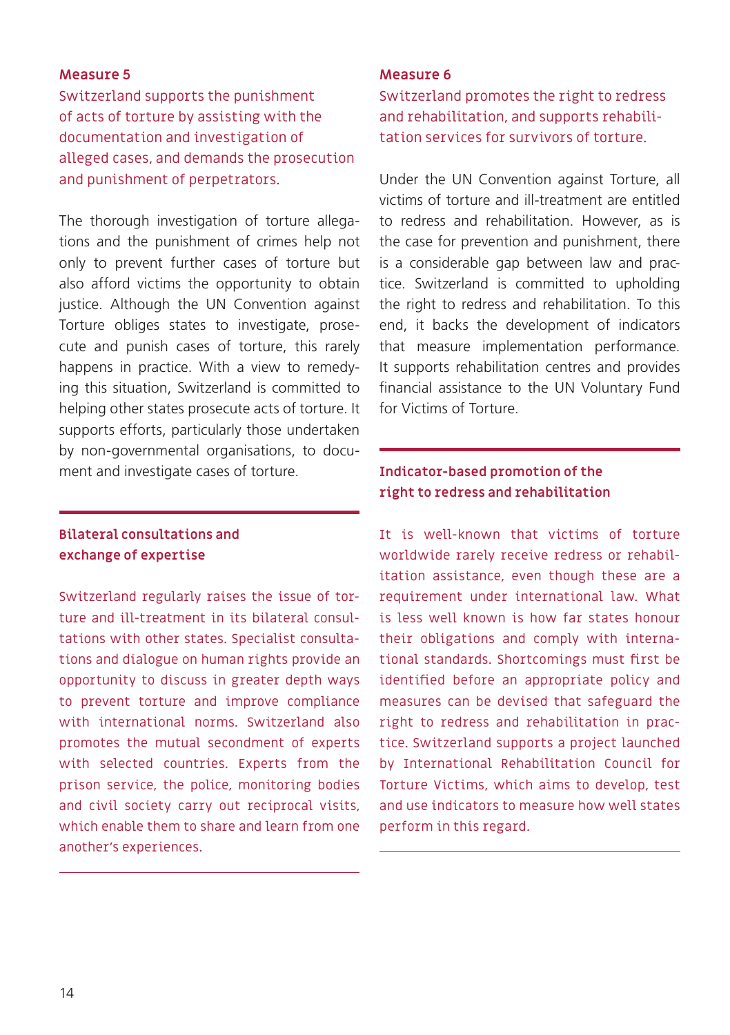Switzerland supports the punishment of acts of torture by assisting with the documentation and investigation of alleged cases, and demands the prosecution and punishment of perpetrators.

The thorough investigation of torture allegations and the punishment of crimes help not only to prevent further cases of torture but also afford victims the opportunity to obtain justice. Although the UN Convention against Torture obliges states to investigate, prosecute and punish cases of torture, this rarely happens in practice. With a view to remedying this situation, Switzerland is committed to helping other states prosecute acts of torture. It supports efforts, particularly those undertaken by non-governmental organisations, to document and investigate cases of torture.

## **Bilateral consultations and exchange of expertise**

Switzerland regularly raises the issue of torture and ill-treatment in its bilateral consultations with other states. Specialist consultations and dialogue on human rights provide an opportunity to discuss in greater depth ways to prevent torture and improve compliance with international norms. Switzerland also promotes the mutual secondment of experts with selected countries. Experts from the prison service, the police, monitoring bodies and civil society carry out reciprocal visits, which enable them to share and learn from one another's experiences.

#### **Measure 6**

Switzerland promotes the right to redress and rehabilitation, and supports rehabilitation services for survivors of torture.

Under the UN Convention against Torture, all victims of torture and ill-treatment are entitled to redress and rehabilitation. However, as is the case for prevention and punishment, there is a considerable gap between law and practice. Switzerland is committed to upholding the right to redress and rehabilitation. To this end, it backs the development of indicators that measure implementation performance. It supports rehabilitation centres and provides financial assistance to the UN Voluntary Fund for Victims of Torture.

## **Indicator-based promotion of the right to redress and rehabilitation**

It is well-known that victims of torture worldwide rarely receive redress or rehabilitation assistance, even though these are a requirement under international law. What is less well known is how far states honour their obligations and comply with international standards. Shortcomings must first be identified before an appropriate policy and measures can be devised that safeguard the right to redress and rehabilitation in practice. Switzerland supports a project launched by International Rehabilitation Council for Torture Victims, which aims to develop, test and use indicators to measure how well states perform in this regard.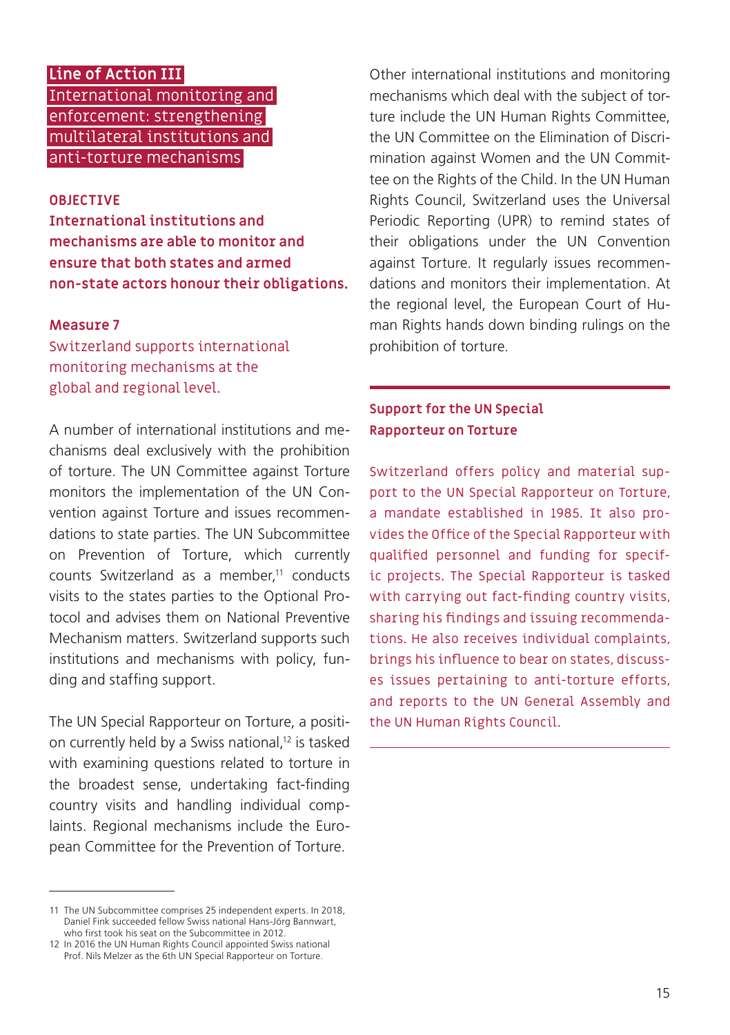## <span id="page-14-0"></span>**Line of Action III** International monitoring and enforcement: strengthening multilateral institutions and anti-torture mechanisms

#### **OBJECTIVE**

**International institutions and mechanisms are able to monitor and ensure that both states and armed non-state actors honour their obligations.**

#### **Measure 7**

Switzerland supports international monitoring mechanisms at the global and regional level.

A number of international institutions and mechanisms deal exclusively with the prohibition of torture. The UN Committee against Torture monitors the implementation of the UN Convention against Torture and issues recommendations to state parties. The UN Subcommittee on Prevention of Torture, which currently counts Switzerland as a member,<sup>11</sup> conducts visits to the states parties to the Optional Protocol and advises them on National Preventive Mechanism matters. Switzerland supports such institutions and mechanisms with policy, funding and staffing support.

The UN Special Rapporteur on Torture, a position currently held by a Swiss national,<sup>12</sup> is tasked with examining questions related to torture in the broadest sense, undertaking fact-finding country visits and handling individual complaints. Regional mechanisms include the European Committee for the Prevention of Torture.

Other international institutions and monitoring mechanisms which deal with the subject of torture include the UN Human Rights Committee the UN Committee on the Elimination of Discrimination against Women and the UN Committee on the Rights of the Child. In the UN Human Rights Council, Switzerland uses the Universal Periodic Reporting (UPR) to remind states of their obligations under the UN Convention against Torture. It regularly issues recommendations and monitors their implementation. At the regional level, the European Court of Human Rights hands down binding rulings on the prohibition of torture.

## **Support for the UN Special Rapporteur on Torture**

Switzerland offers policy and material support to the UN Special Rapporteur on Torture, a mandate established in 1985. It also provides the Office of the Special Rapporteur with qualified personnel and funding for specific projects. The Special Rapporteur is tasked with carrying out fact-finding country visits, sharing his findings and issuing recommendations. He also receives individual complaints, brings his influence to bear on states, discusses issues pertaining to anti-torture efforts, and reports to the UN General Assembly and the UN Human Rights Council.

<sup>11</sup> The UN Subcommittee comprises 25 independent experts. In 2018, Daniel Fink succeeded fellow Swiss national Hans-Jörg Bannwart, who first took his seat on the Subcommittee in 2012.

<sup>12</sup> In 2016 the UN Human Rights Council appointed Swiss national Prof. Nils Melzer as the 6th UN Special Rapporteur on Torture.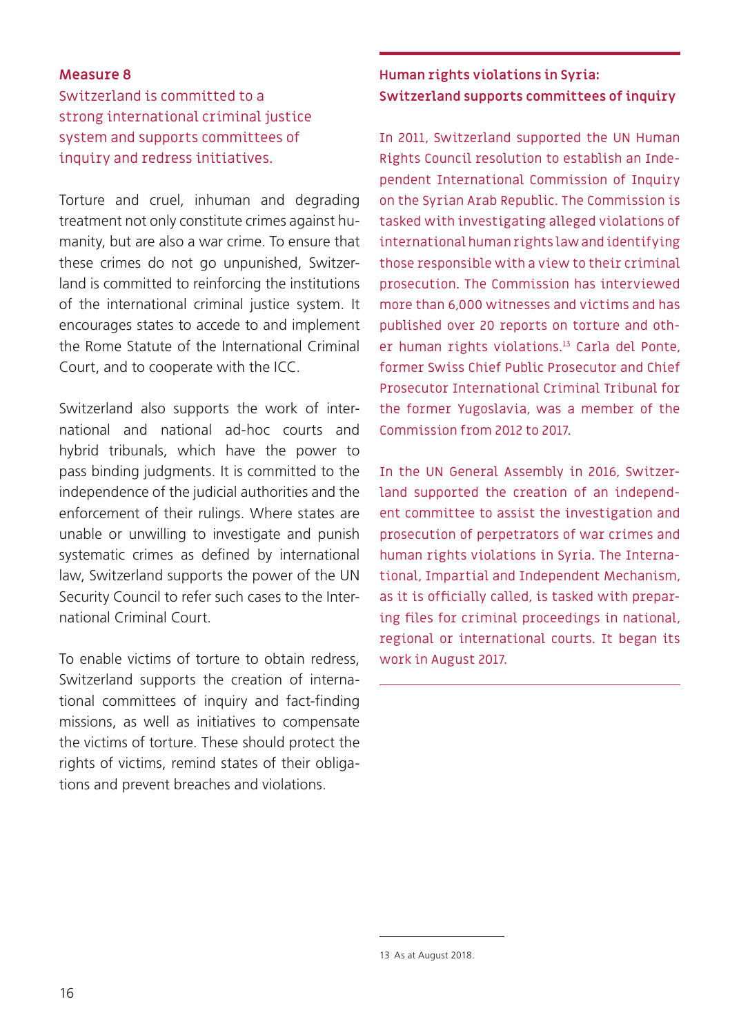## Switzerland is committed to a strong international criminal justice system and supports committees of inquiry and redress initiatives.

Torture and cruel, inhuman and degrading treatment not only constitute crimes against humanity, but are also a war crime. To ensure that these crimes do not go unpunished, Switzerland is committed to reinforcing the institutions of the international criminal justice system. It encourages states to accede to and implement the Rome Statute of the International Criminal Court, and to cooperate with the ICC.

Switzerland also supports the work of international and national ad-hoc courts and hybrid tribunals, which have the power to pass binding judgments. It is committed to the independence of the judicial authorities and the enforcement of their rulings. Where states are unable or unwilling to investigate and punish systematic crimes as defined by international law, Switzerland supports the power of the UN Security Council to refer such cases to the International Criminal Court.

To enable victims of torture to obtain redress, Switzerland supports the creation of international committees of inquiry and fact-finding missions, as well as initiatives to compensate the victims of torture. These should protect the rights of victims, remind states of their obligations and prevent breaches and violations.

## **Human rights violations in Syria: Switzerland supports committees of inquiry**

In 2011, Switzerland supported the UN Human Rights Council resolution to establish an Independent International Commission of Inquiry on the Syrian Arab Republic. The Commission is tasked with investigating alleged violations of international human rights law and identifying those responsible with a view to their criminal prosecution. The Commission has interviewed more than 6,000 witnesses and victims and has published over 20 reports on torture and other human rights violations.13 Carla del Ponte, former Swiss Chief Public Prosecutor and Chief Prosecutor International Criminal Tribunal for the former Yugoslavia, was a member of the Commission from 2012 to 2017.

In the UN General Assembly in 2016, Switzerland supported the creation of an independent committee to assist the investigation and prosecution of perpetrators of war crimes and human rights violations in Syria. The International, Impartial and Independent Mechanism, as it is officially called, is tasked with preparing files for criminal proceedings in national, regional or international courts. It began its work in August 2017.

<sup>13</sup> As at August 2018.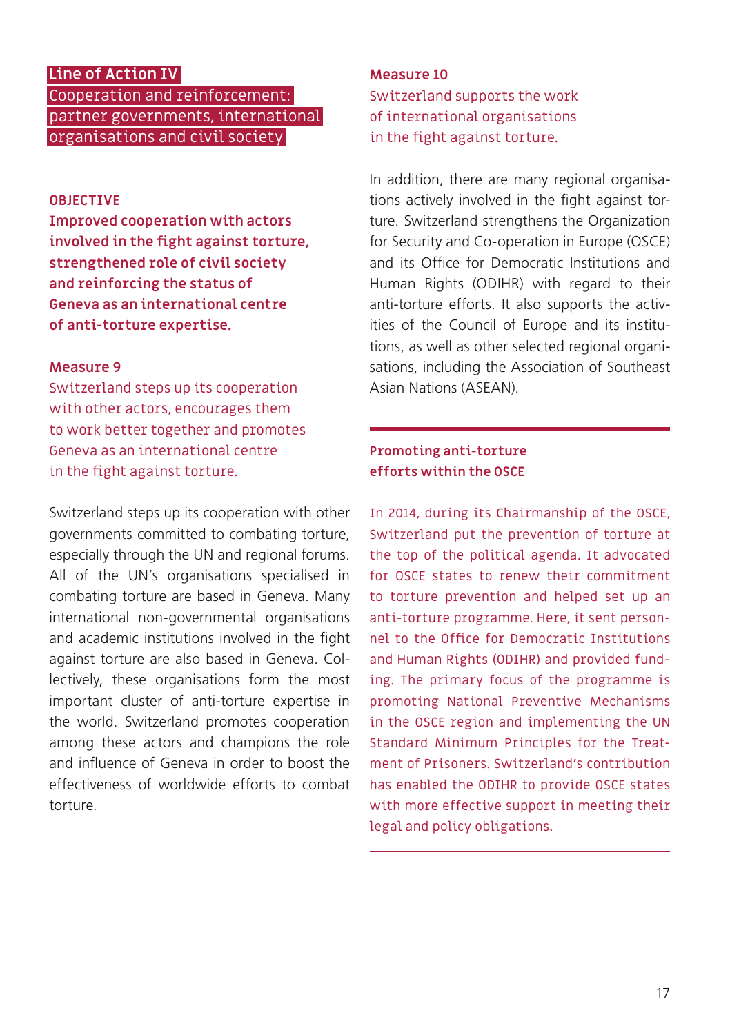## <span id="page-16-0"></span>**Line of Action IV**

Cooperation and reinforcement: partner governments, international organisations and civil society

#### **OBJECTIVE**

**Improved cooperation with actors involved in the fight against torture, strengthened role of civil society and reinforcing the status of Geneva as an international centre of anti-torture expertise.**

#### **Measure 9**

Switzerland steps up its cooperation with other actors, encourages them to work better together and promotes Geneva as an international centre in the fight against torture.

Switzerland steps up its cooperation with other governments committed to combating torture, especially through the UN and regional forums. All of the UN's organisations specialised in combating torture are based in Geneva. Many international non-governmental organisations and academic institutions involved in the fight against torture are also based in Geneva. Collectively, these organisations form the most important cluster of anti-torture expertise in the world. Switzerland promotes cooperation among these actors and champions the role and influence of Geneva in order to boost the effectiveness of worldwide efforts to combat torture.

## **Measure 10** Switzerland supports the work of international organisations in the fight against torture.

In addition, there are many regional organisations actively involved in the fight against torture. Switzerland strengthens the Organization for Security and Co-operation in Europe (OSCE) and its Office for Democratic Institutions and Human Rights (ODIHR) with regard to their anti-torture efforts. It also supports the activities of the Council of Europe and its institutions, as well as other selected regional organisations, including the Association of Southeast Asian Nations (ASEAN).

### **Promoting anti-torture efforts within the OSCE**

In 2014, during its Chairmanship of the OSCE, Switzerland put the prevention of torture at the top of the political agenda. It advocated for OSCE states to renew their commitment to torture prevention and helped set up an anti-torture programme. Here, it sent personnel to the Office for Democratic Institutions and Human Rights (ODIHR) and provided funding. The primary focus of the programme is promoting National Preventive Mechanisms in the OSCE region and implementing the UN Standard Minimum Principles for the Treatment of Prisoners. Switzerland's contribution has enabled the ODIHR to provide OSCE states with more effective support in meeting their legal and policy obligations.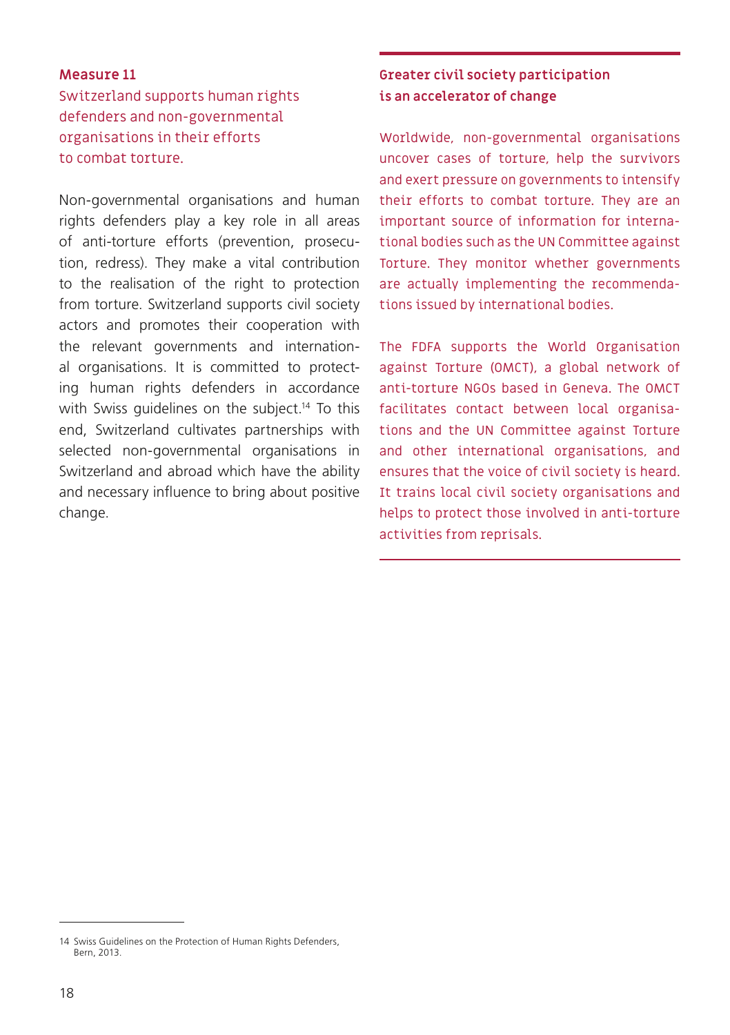Switzerland supports human rights defenders and non-governmental organisations in their efforts to combat torture.

Non-governmental organisations and human rights defenders play a key role in all areas of anti-torture efforts (prevention, prosecution, redress). They make a vital contribution to the realisation of the right to protection from torture. Switzerland supports civil society actors and promotes their cooperation with the relevant governments and international organisations. It is committed to protecting human rights defenders in accordance with Swiss quidelines on the subject.<sup>14</sup> To this end, Switzerland cultivates partnerships with selected non-governmental organisations in Switzerland and abroad which have the ability and necessary influence to bring about positive change.

### **Greater civil society participation is an accelerator of change**

Worldwide, non-governmental organisations uncover cases of torture, help the survivors and exert pressure on governments to intensify their efforts to combat torture. They are an important source of information for international bodies such as the UN Committee against Torture. They monitor whether governments are actually implementing the recommendations issued by international bodies.

The FDFA supports the World Organisation against Torture (OMCT), a global network of anti-torture NGOs based in Geneva. The OMCT facilitates contact between local organisations and the UN Committee against Torture and other international organisations, and ensures that the voice of civil society is heard. It trains local civil society organisations and helps to protect those involved in anti-torture activities from reprisals.

<sup>14</sup> Swiss Guidelines on the Protection of Human Rights Defenders, Bern, 2013.